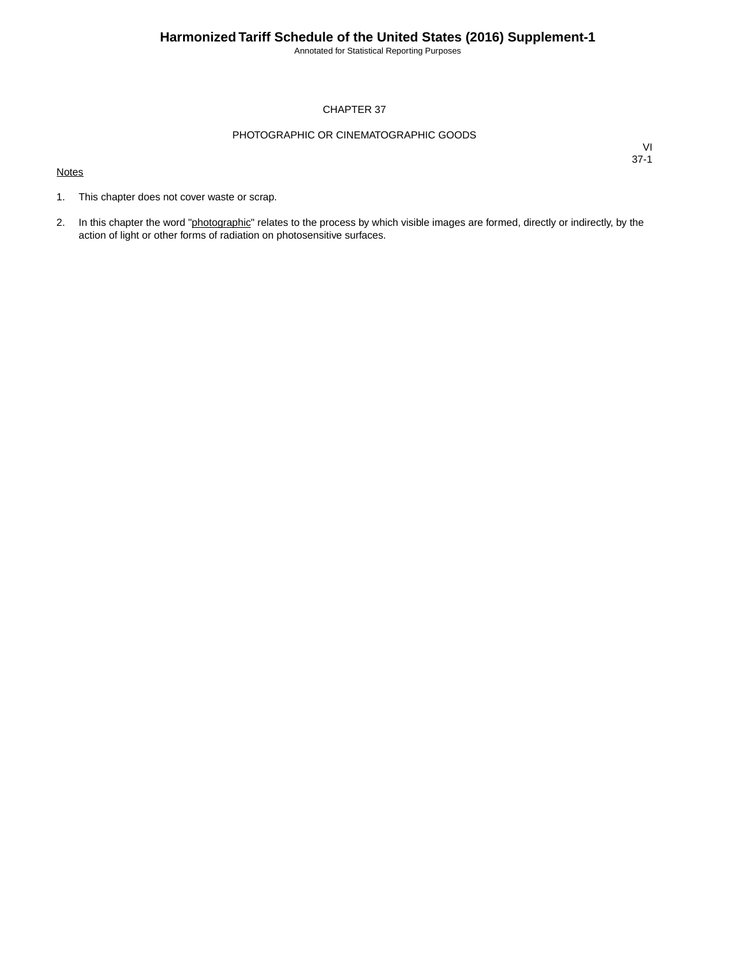Annotated for Statistical Reporting Purposes

#### CHAPTER 37

#### PHOTOGRAPHIC OR CINEMATOGRAPHIC GOODS

#### **Notes**

- 1. This chapter does not cover waste or scrap.
- 2. In this chapter the word "photographic" relates to the process by which visible images are formed, directly or indirectly, by the action of light or other forms of radiation on photosensitive surfaces.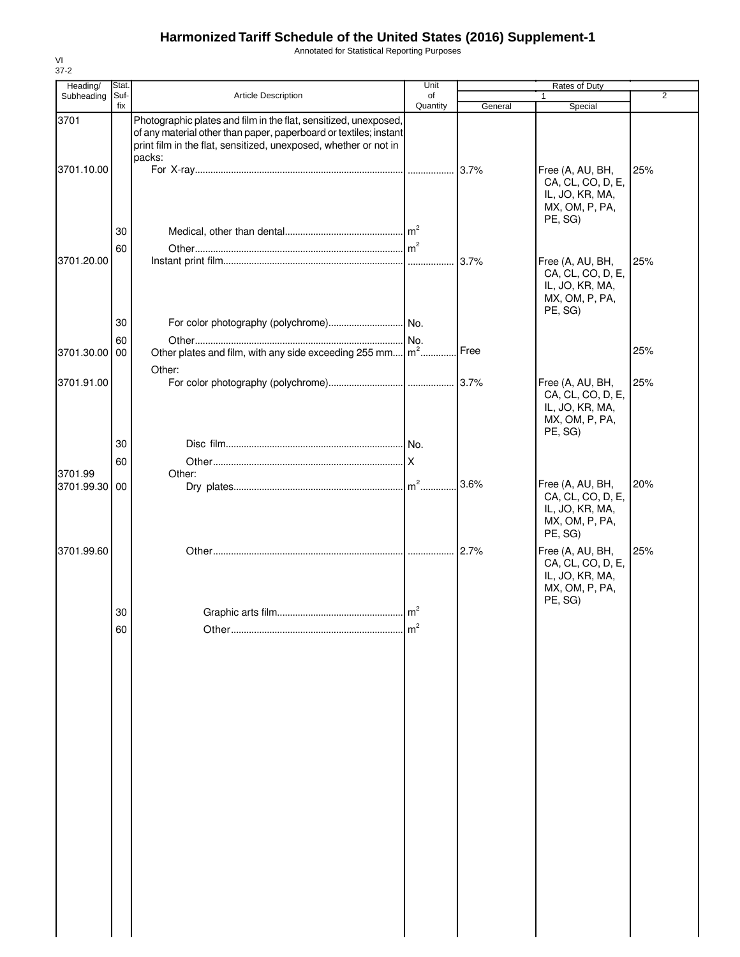Annotated for Statistical Reporting Purposes

| Heading/<br>Subheading | Stat.<br>Suf- | Article Description                                                                                                                                                                                                 | Unit<br>of     |         | Rates of Duty<br>1                                                                    | $\overline{2}$ |
|------------------------|---------------|---------------------------------------------------------------------------------------------------------------------------------------------------------------------------------------------------------------------|----------------|---------|---------------------------------------------------------------------------------------|----------------|
|                        | fix           |                                                                                                                                                                                                                     | Quantity       | General | Special                                                                               |                |
| 3701                   |               | Photographic plates and film in the flat, sensitized, unexposed,<br>of any material other than paper, paperboard or textiles; instant<br>print film in the flat, sensitized, unexposed, whether or not in<br>packs: |                |         |                                                                                       |                |
| 3701.10.00             |               |                                                                                                                                                                                                                     |                |         | Free (A, AU, BH,<br>CA, CL, CO, D, E,<br>IL, JO, KR, MA,<br>MX, OM, P, PA,<br>PE, SG) | 25%            |
|                        | 30            |                                                                                                                                                                                                                     |                |         |                                                                                       |                |
|                        | 60            |                                                                                                                                                                                                                     |                |         |                                                                                       |                |
| 3701.20.00             |               |                                                                                                                                                                                                                     |                | 3.7%    | Free (A, AU, BH,<br>CA, CL, CO, D, E,<br>IL, JO, KR, MA,<br>MX, OM, P, PA,<br>PE, SG) | 25%            |
|                        | 30            |                                                                                                                                                                                                                     |                |         |                                                                                       |                |
|                        | 60            |                                                                                                                                                                                                                     |                |         |                                                                                       |                |
| 3701.30.00             | 00            | Other plates and film, with any side exceeding 255 mm $\vert m^2  \vert$                                                                                                                                            |                | Free    |                                                                                       | 25%            |
|                        |               | Other:                                                                                                                                                                                                              |                |         |                                                                                       |                |
| 3701.91.00             |               |                                                                                                                                                                                                                     |                |         | Free (A, AU, BH,<br>CA, CL, CO, D, E,<br>IL, JO, KR, MA,<br>MX, OM, P, PA,<br>PE, SG) | 25%            |
|                        | 30            |                                                                                                                                                                                                                     |                |         |                                                                                       |                |
|                        | 60            |                                                                                                                                                                                                                     | Iχ             |         |                                                                                       |                |
| 3701.99                |               | Other:                                                                                                                                                                                                              |                |         |                                                                                       |                |
| 3701.99.30             | 00            |                                                                                                                                                                                                                     |                | 3.6%    | Free (A, AU, BH,<br>CA, CL, CO, D, E,<br>IL, JO, KR, MA,<br>MX, OM, P, PA,<br>PE, SG) | 20%            |
| 3701.99.60             |               |                                                                                                                                                                                                                     |                |         | Free (A, AU, BH,<br>CA, CL, CO, D, E,<br>IL, JO, KR, MA,<br>MX, OM, P, PA,<br>PE, SG) | 25%            |
|                        | 30            |                                                                                                                                                                                                                     | $\overline{c}$ |         |                                                                                       |                |
|                        | 60            |                                                                                                                                                                                                                     | $\mathsf{m}^2$ |         |                                                                                       |                |
|                        |               |                                                                                                                                                                                                                     |                |         |                                                                                       |                |
|                        |               |                                                                                                                                                                                                                     |                |         |                                                                                       |                |
|                        |               |                                                                                                                                                                                                                     |                |         |                                                                                       |                |
|                        |               |                                                                                                                                                                                                                     |                |         |                                                                                       |                |
|                        |               |                                                                                                                                                                                                                     |                |         |                                                                                       |                |
|                        |               |                                                                                                                                                                                                                     |                |         |                                                                                       |                |

VI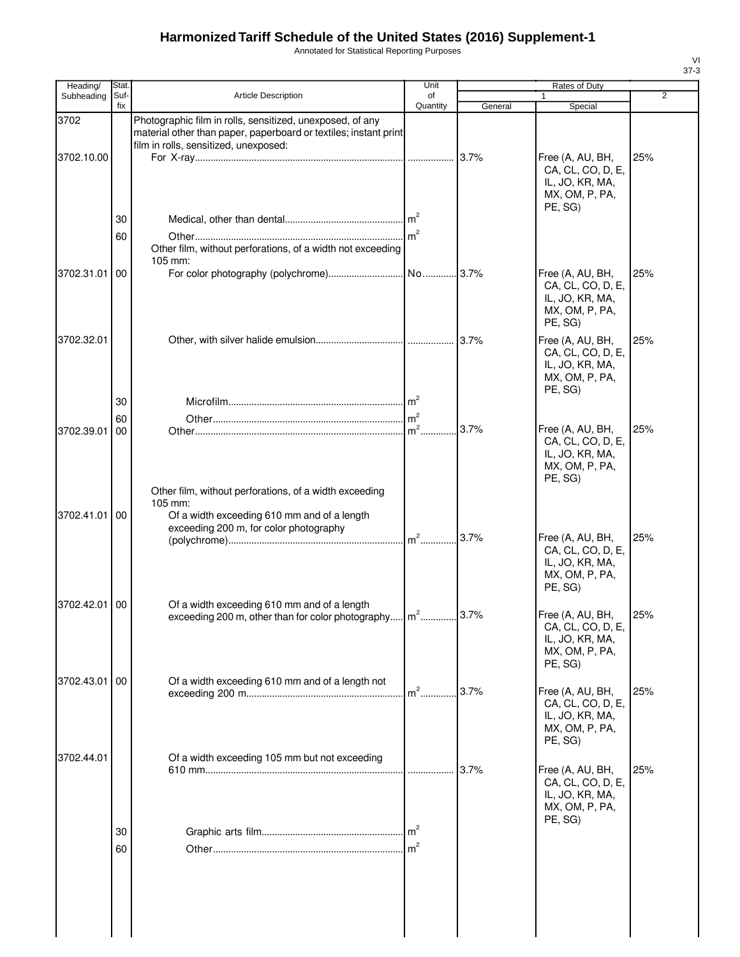Annotated for Statistical Reporting Purposes

| Heading/   | Stat.       |                                                                                                                                                                        | Unit            |         | Rates of Duty                                                                         |                |
|------------|-------------|------------------------------------------------------------------------------------------------------------------------------------------------------------------------|-----------------|---------|---------------------------------------------------------------------------------------|----------------|
| Subheading | Suf-<br>fix | <b>Article Description</b>                                                                                                                                             | of<br>Quantity  | General | Special                                                                               | $\overline{2}$ |
| 3702       |             | Photographic film in rolls, sensitized, unexposed, of any<br>material other than paper, paperboard or textiles; instant print<br>film in rolls, sensitized, unexposed: |                 |         |                                                                                       |                |
| 3702.10.00 |             |                                                                                                                                                                        |                 |         | Free (A, AU, BH,<br>CA, CL, CO, D, E,<br>IL, JO, KR, MA,<br>MX, OM, P, PA,<br>PE, SG) | 25%            |
|            | 30          |                                                                                                                                                                        |                 |         |                                                                                       |                |
|            | 60          |                                                                                                                                                                        | m <sup>2</sup>  |         |                                                                                       |                |
|            |             | Other film, without perforations, of a width not exceeding                                                                                                             |                 |         |                                                                                       |                |
| 3702.31.01 | 00          | $105$ mm:                                                                                                                                                              |                 |         | Free (A, AU, BH,                                                                      | 25%            |
|            |             |                                                                                                                                                                        |                 |         | CA, CL, CO, D, E,<br>IL, JO, KR, MA,<br>MX, OM, P, PA,<br>PE, SG)                     |                |
| 3702.32.01 |             |                                                                                                                                                                        |                 |         | Free (A, AU, BH,<br>CA, CL, CO, D, E,<br>IL, JO, KR, MA,<br>MX, OM, P, PA,<br>PE, SG) | 25%            |
|            | 30          |                                                                                                                                                                        |                 |         |                                                                                       |                |
|            | 60          |                                                                                                                                                                        |                 |         |                                                                                       |                |
| 3702.39.01 | 00          |                                                                                                                                                                        | m <sup>2</sup>  | 3.7%    | Free (A, AU, BH,<br>CA, CL, CO, D, E,<br>IL, JO, KR, MA,<br>MX, OM, P, PA,<br>PE, SG) | 25%            |
|            |             | Other film, without perforations, of a width exceeding                                                                                                                 |                 |         |                                                                                       |                |
| 3702.41.01 | 00          | 105 mm:<br>Of a width exceeding 610 mm and of a length<br>exceeding 200 m, for color photography                                                                       | m <sup>2</sup>  | 3.7%    | Free (A, AU, BH,<br>CA, CL, CO, D, E,                                                 | 25%            |
|            |             |                                                                                                                                                                        |                 |         | IL, JO, KR, MA,<br>MX, OM, P, PA,<br>PE, SG)                                          |                |
| 3702.42.01 | 00          | Of a width exceeding 610 mm and of a length<br>exceeding 200 m, other than for color photography m <sup>2</sup>                                                        |                 | 3.7%    | Free (A, AU, BH,<br>CA, CL, CO, D, E,<br>IL, JO, KR, MA,<br>MX, OM, P, PA,<br>PE, SG) | 25%            |
| 3702.43.01 | 00          | Of a width exceeding 610 mm and of a length not                                                                                                                        |                 |         |                                                                                       |                |
|            |             |                                                                                                                                                                        | $m2$ .          | 3.7%    | Free (A, AU, BH,<br>CA, CL, CO, D, E,<br>IL, JO, KR, MA,<br>MX, OM, P, PA,<br>PE, SG) | 25%            |
| 3702.44.01 |             | Of a width exceeding 105 mm but not exceeding                                                                                                                          |                 |         |                                                                                       |                |
|            |             |                                                                                                                                                                        |                 | 3.7%    | Free (A, AU, BH,<br>CA, CL, CO, D, E,<br>IL, JO, KR, MA,<br>MX, OM, P, PA,<br>PE, SG) | 25%            |
|            | 30          |                                                                                                                                                                        | $\mathsf{Im}^2$ |         |                                                                                       |                |
|            | 60          |                                                                                                                                                                        | m <sup>2</sup>  |         |                                                                                       |                |
|            |             |                                                                                                                                                                        |                 |         |                                                                                       |                |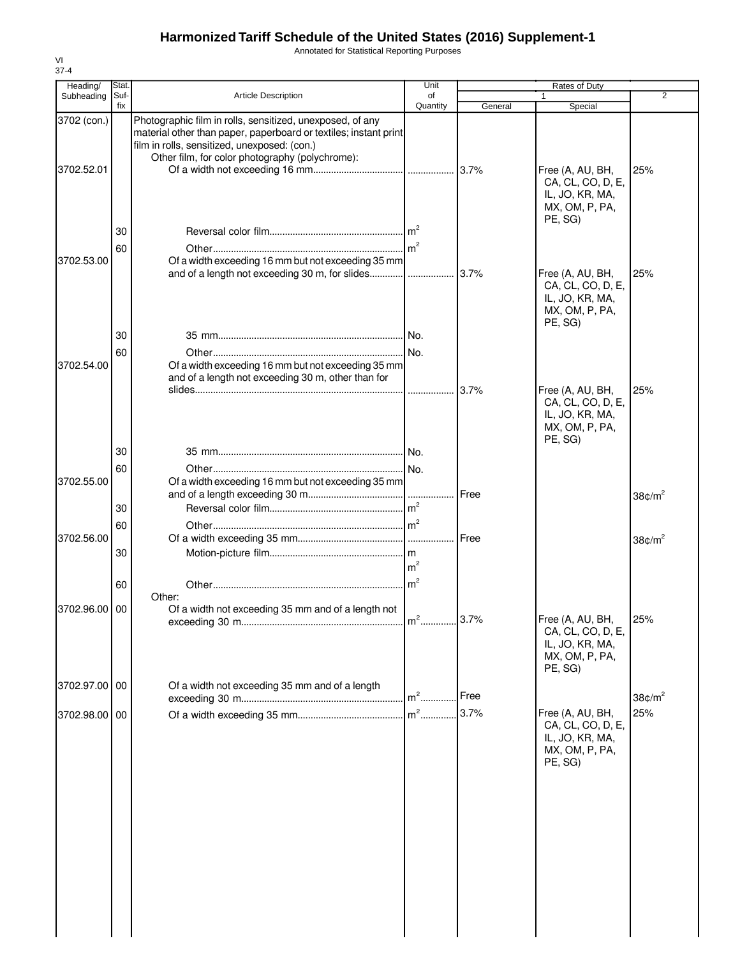Annotated for Statistical Reporting Purposes

| Heading/                  | <b>Stat</b> |                                                                                                                                                                                                                                  | Unit                             |              | Rates of Duty                                                                                           |                                        |
|---------------------------|-------------|----------------------------------------------------------------------------------------------------------------------------------------------------------------------------------------------------------------------------------|----------------------------------|--------------|---------------------------------------------------------------------------------------------------------|----------------------------------------|
| Subheading                | Suf-<br>fix | Article Description                                                                                                                                                                                                              | of<br>Quantity                   | General      | 1<br>Special                                                                                            | $\overline{2}$                         |
| 3702 (con.)<br>3702.52.01 |             | Photographic film in rolls, sensitized, unexposed, of any<br>material other than paper, paperboard or textiles; instant print<br>film in rolls, sensitized, unexposed: (con.)<br>Other film, for color photography (polychrome): |                                  |              | Free (A, AU, BH,<br>CA, CL, CO, D, E,<br>IL, JO, KR, MA,                                                | 25%                                    |
| 3702.53.00                | 30<br>60    | Of a width exceeding 16 mm but not exceeding 35 mm<br>and of a length not exceeding 30 m, for slides                                                                                                                             |                                  | 3.7%         | MX, OM, P, PA,<br>PE, SG)<br>Free (A, AU, BH,<br>CA, CL, CO, D, E,<br>IL, JO, KR, MA,<br>MX, OM, P, PA, | 25%                                    |
| 3702.54.00                | 30<br>60    | Of a width exceeding 16 mm but not exceeding 35 mm<br>and of a length not exceeding 30 m, other than for                                                                                                                         | .                                | 3.7%         | PE, SG)<br>Free (A, AU, BH,                                                                             | 25%                                    |
| 3702.55.00                | 30<br>60    | Of a width exceeding 16 mm but not exceeding 35 mm                                                                                                                                                                               |                                  |              | CA, CL, CO, D, E,<br>IL, JO, KR, MA,<br>MX, OM, P, PA,<br>PE, SG)                                       |                                        |
| 3702.56.00                | 30<br>60    |                                                                                                                                                                                                                                  |                                  | Free<br>Free |                                                                                                         | 38 $\text{C/m}^2$<br>38 $\text{C/m}^2$ |
|                           | 30<br>60    | Other:                                                                                                                                                                                                                           | m <sup>2</sup><br>m <sup>2</sup> |              |                                                                                                         |                                        |
| 3702.96.00                | 00          | Of a width not exceeding 35 mm and of a length not                                                                                                                                                                               |                                  | 3.7%         | Free (A, AU, BH,<br>CA, CL, CO, D, E,<br>IL, JO, KR, MA,<br>MX, OM, P, PA,<br>PE, SG)                   | 25%                                    |
| 3702.97.00 00             |             | Of a width not exceeding 35 mm and of a length                                                                                                                                                                                   | $m2$                             | Free         |                                                                                                         | 38 $\text{C/m}^2$                      |
| 3702.98.00 00             |             |                                                                                                                                                                                                                                  | $m2$                             | 3.7%         | Free (A, AU, BH,<br>CA, CL, CO, D, E,<br>IL, JO, KR, MA,<br>MX, OM, P, PA,<br>PE, SG)                   | 25%                                    |
|                           |             |                                                                                                                                                                                                                                  |                                  |              |                                                                                                         |                                        |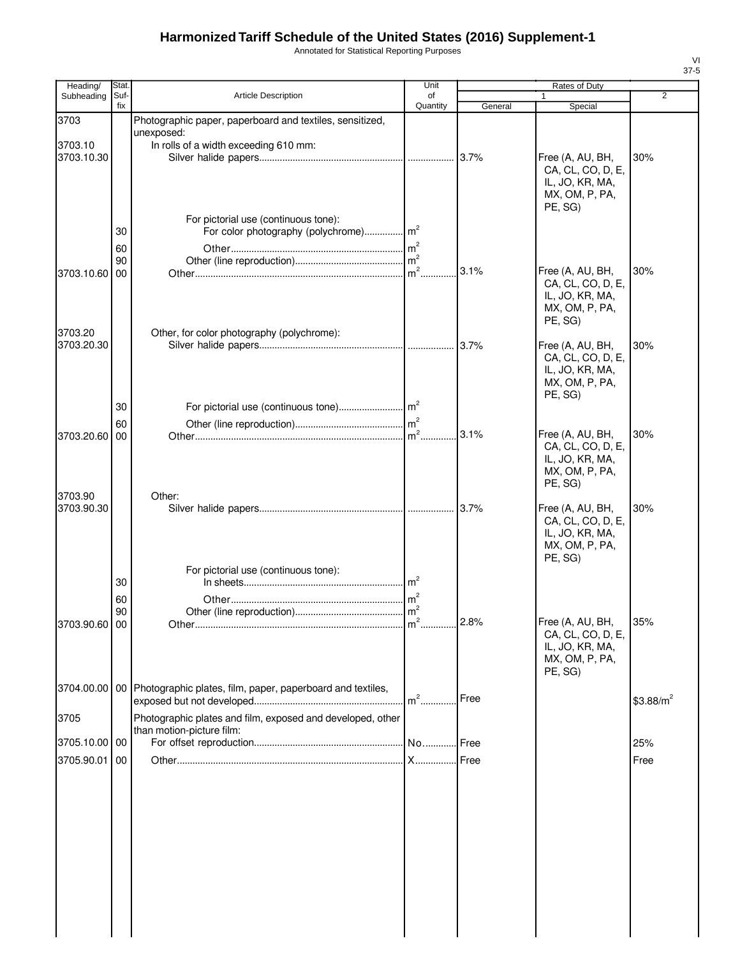Annotated for Statistical Reporting Purposes

| Heading/              | Stat.       |                                                               | Unit           |         | Rates of Duty                         |             |
|-----------------------|-------------|---------------------------------------------------------------|----------------|---------|---------------------------------------|-------------|
| Subheading            | Suf-<br>fix | Article Description                                           | of<br>Quantity | General | 1<br>Special                          | 2           |
| 3703                  |             | Photographic paper, paperboard and textiles, sensitized,      |                |         |                                       |             |
|                       |             | unexposed:                                                    |                |         |                                       |             |
| 3703.10<br>3703.10.30 |             | In rolls of a width exceeding 610 mm:                         |                | 3.7%    | Free (A, AU, BH,                      | 30%         |
|                       |             |                                                               |                |         | CA, CL, CO, D, E,                     |             |
|                       |             |                                                               |                |         | IL, JO, KR, MA,                       |             |
|                       |             |                                                               |                |         | MX, OM, P, PA,                        |             |
|                       |             | For pictorial use (continuous tone):                          |                |         | PE, SG)                               |             |
|                       | 30          |                                                               |                |         |                                       |             |
|                       | 60          |                                                               |                |         |                                       |             |
|                       | 90          |                                                               |                | 3.1%    |                                       | 30%         |
| 3703.10.60            | 00          |                                                               | $m2$ .         |         | Free (A, AU, BH,<br>CA, CL, CO, D, E, |             |
|                       |             |                                                               |                |         | IL, JO, KR, MA,                       |             |
|                       |             |                                                               |                |         | MX, OM, P, PA,                        |             |
| 3703.20               |             | Other, for color photography (polychrome):                    |                |         | PE, SG)                               |             |
| 3703.20.30            |             |                                                               |                |         | Free (A, AU, BH,                      | 30%         |
|                       |             |                                                               |                |         | CA, CL, CO, D, E,                     |             |
|                       |             |                                                               |                |         | IL, JO, KR, MA,<br>MX, OM, P, PA,     |             |
|                       |             |                                                               |                |         | PE, SG)                               |             |
|                       | 30          |                                                               |                |         |                                       |             |
|                       | 60          |                                                               |                |         |                                       |             |
| 3703.20.60            | 00          |                                                               |                | 3.1%    | Free (A, AU, BH,<br>CA, CL, CO, D, E, | 30%         |
|                       |             |                                                               |                |         | IL, JO, KR, MA,                       |             |
|                       |             |                                                               |                |         | MX, OM, P, PA,                        |             |
| 3703.90               |             | Other:                                                        |                |         | PE, SG)                               |             |
| 3703.90.30            |             |                                                               |                |         | Free (A, AU, BH,                      | 30%         |
|                       |             |                                                               |                |         | CA, CL, CO, D, E,                     |             |
|                       |             |                                                               |                |         | IL, JO, KR, MA,<br>MX, OM, P, PA,     |             |
|                       |             |                                                               |                |         | PE, SG)                               |             |
|                       |             | For pictorial use (continuous tone):                          |                |         |                                       |             |
|                       | 30          |                                                               | m <sup>2</sup> |         |                                       |             |
|                       | 60          |                                                               |                |         |                                       |             |
| 3703.90.60 00         | 90          |                                                               |                |         | Free (A, AU, BH,                      | 35%         |
|                       |             |                                                               |                |         | CA, CL, CO, D, E,                     |             |
|                       |             |                                                               |                |         | IL, JO, KR, MA,                       |             |
|                       |             |                                                               |                |         | MX, OM, P, PA,<br>PE, SG)             |             |
| 3704.00.00            |             | 00 Photographic plates, film, paper, paperboard and textiles, |                |         |                                       |             |
|                       |             |                                                               | $m2$ .         | Free    |                                       | $$3.88/m^2$ |
| 3705                  |             | Photographic plates and film, exposed and developed, other    |                |         |                                       |             |
|                       |             | than motion-picture film:                                     |                |         |                                       |             |
| 3705.10.00 00         |             |                                                               |                |         |                                       | 25%         |
| 3705.90.01            | 00          |                                                               |                |         |                                       | Free        |
|                       |             |                                                               |                |         |                                       |             |
|                       |             |                                                               |                |         |                                       |             |
|                       |             |                                                               |                |         |                                       |             |
|                       |             |                                                               |                |         |                                       |             |
|                       |             |                                                               |                |         |                                       |             |
|                       |             |                                                               |                |         |                                       |             |
|                       |             |                                                               |                |         |                                       |             |
|                       |             |                                                               |                |         |                                       |             |
|                       |             |                                                               |                |         |                                       |             |
|                       |             |                                                               |                |         |                                       |             |
|                       |             |                                                               |                |         |                                       |             |